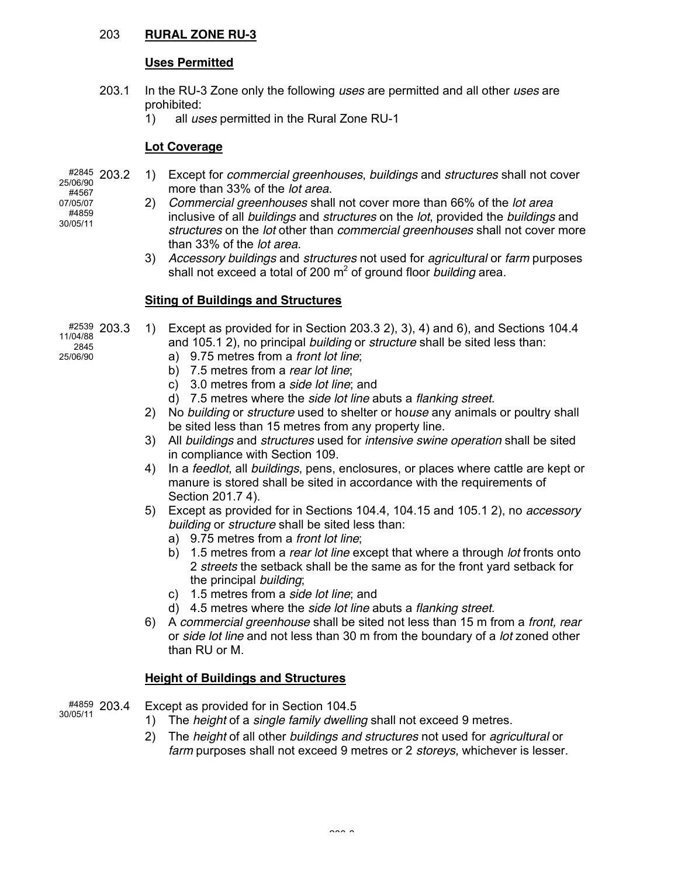#### 203 **RURAL ZONE RU-3**

## **Uses Permitted**

- 203.1 In the RU-3 Zone only the following *uses* are permitted and all other *uses* are prohibited:
	- 1) all *uses* permitted in the Rural Zone RU-1

#### **Lot Coverage**

- #2845 203.2 25/06/90 #4567 07/05/07 #4859 30/05/11
- 203.2 1) Except for *commercial greenhouses*, *buildings* and *structures* shall not cover more than 33% of the *lot area*.
- 2) *Commercial greenhouses* shall not cover more than 66% of the *lot area* inclusive of all *buildings* and *structures* on the *lot*, provided the *buildings* and *structures* on the *lot* other than *commercial greenhouses* shall not cover more than 33% of the *lot area*.
	- 3) *Accessory buildings* and *structures* not used for *agricultural* or *farm* purposes shall not exceed a total of 200 m<sup>2</sup> of ground floor *building* area.

# **Siting of Buildings and Structures**

- #2539 203.3 1) Except as provided for in Section 203.3 2), 3), 4) and 6), and Sections 104.4 and 105.1 2), no principal *building* or *structure* shall be sited less than:
	- a) 9.75 metres from a *front lot line*;
	- b) 7.5 metres from a *rear lot line*;
	- c) 3.0 metres from a *side lot line*; and
	- d) 7.5 metres where the *side lot line* abuts a *flanking street*.
	- 2) No *building* or *structure* used to shelter or ho*use* any animals or poultry shall be sited less than 15 metres from any property line.
	- 3) All *buildings* and *structures* used for *intensive swine operation* shall be sited in compliance with Section 109.
	- 4) In a *feedlot*, all *buildings*, pens, enclosures, or places where cattle are kept or manure is stored shall be sited in accordance with the requirements of Section 201.7 4).
	- 5) Except as provided for in Sections 104.4, 104.15 and 105.1 2), no *accessory building* or *structure* shall be sited less than:
		- a) 9.75 metres from a *front lot line*;
		- b) 1.5 metres from a *rear lot line* except that where a through *lot* fronts onto 2 *streets* the setback shall be the same as for the front yard setback for the principal *building*;
		- c) 1.5 metres from a *side lot line*; and
		- d) 4.5 metres where the *side lot line* abuts a *flanking street*.
	- 6) A *commercial greenhouse* shall be sited not less than 15 m from a *front, rear* or *side lot line* and not less than 30 m from the boundary of a *lot* zoned other than RU or M.

## **Height of Buildings and Structures**

- #4859 203.4 30/05/11 203.4 Except as provided for in Section 104.5
	- 1) The *height* of a *single family dwelling* shall not exceed 9 metres.
	- 2) The *height* of all other *buildings and structures* not used for *agricultural* or *farm* purposes shall not exceed 9 metres or 2 *storeys*, whichever is lesser.

11/04/88 2845 25/06/90